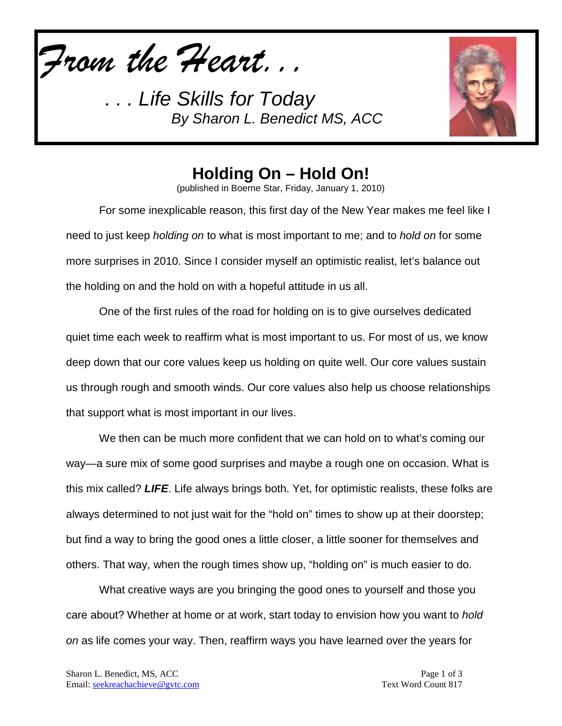*From the Heart...*



# **Holding On – Hold On!**

(published in Boerne Star, Friday, January 1, 2010)

For some inexplicable reason, this first day of the New Year makes me feel like I need to just keep *holding on* to what is most important to me; and to *hold on* for some more surprises in 2010. Since I consider myself an optimistic realist, let's balance out the holding on and the hold on with a hopeful attitude in us all.

One of the first rules of the road for holding on is to give ourselves dedicated quiet time each week to reaffirm what is most important to us. For most of us, we know deep down that our core values keep us holding on quite well. Our core values sustain us through rough and smooth winds. Our core values also help us choose relationships that support what is most important in our lives.

We then can be much more confident that we can hold on to what's coming our way—a sure mix of some good surprises and maybe a rough one on occasion. What is this mix called? *LIFE*. Life always brings both. Yet, for optimistic realists, these folks are always determined to not just wait for the "hold on" times to show up at their doorstep; but find a way to bring the good ones a little closer, a little sooner for themselves and others. That way, when the rough times show up, "holding on" is much easier to do.

What creative ways are you bringing the good ones to yourself and those you care about? Whether at home or at work, start today to envision how you want to *hold on* as life comes your way. Then, reaffirm ways you have learned over the years for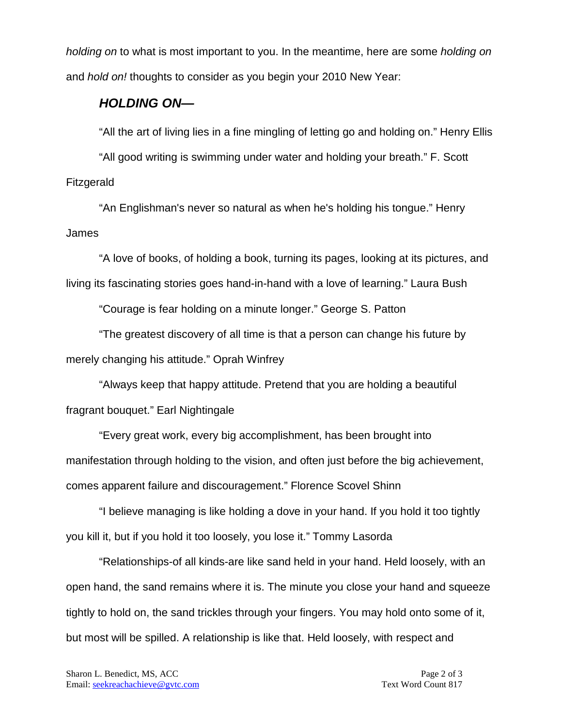*holding on* to what is most important to you. In the meantime, here are some *holding on*  and *hold on!* thoughts to consider as you begin your 2010 New Year:

#### *HOLDING ON—*

"All the art of living lies in a fine mingling of letting go and holding on." Henry Ellis

"All good writing is swimming under water and holding your breath." F. Scott Fitzgerald

"An Englishman's never so natural as when he's holding his tongue." Henry James

"A love of books, of holding a book, turning its pages, looking at its pictures, and living its fascinating stories goes hand-in-hand with a love of learning." Laura Bush

"Courage is fear holding on a minute longer." George S. Patton

"The greatest discovery of all time is that a person can change his future by merely changing his attitude." Oprah Winfrey

"Always keep that happy attitude. Pretend that you are holding a beautiful fragrant bouquet." Earl Nightingale

"Every great work, every big accomplishment, has been brought into manifestation through holding to the vision, and often just before the big achievement, comes apparent failure and discouragement." Florence Scovel Shinn

"I believe managing is like holding a dove in your hand. If you hold it too tightly you kill it, but if you hold it too loosely, you lose it." Tommy Lasorda

"Relationships-of all kinds-are like sand held in your hand. Held loosely, with an open hand, the sand remains where it is. The minute you close your hand and squeeze tightly to hold on, the sand trickles through your fingers. You may hold onto some of it, but most will be spilled. A relationship is like that. Held loosely, with respect and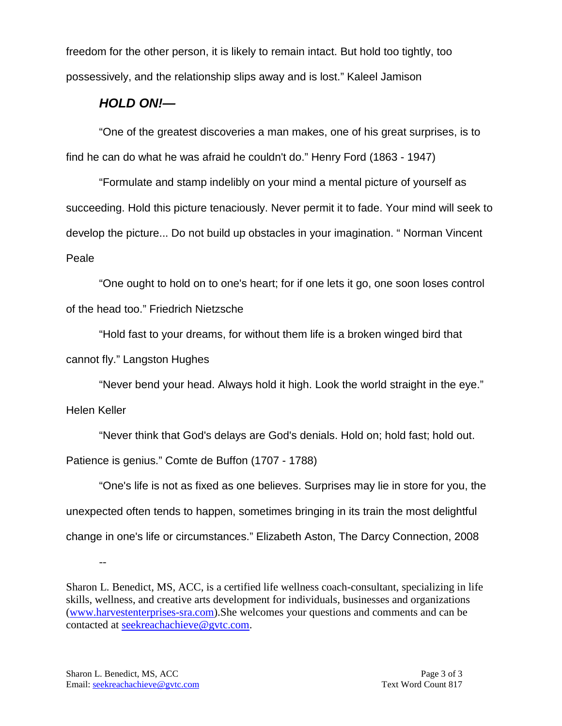freedom for the other person, it is likely to remain intact. But hold too tightly, too possessively, and the relationship slips away and is lost." Kaleel Jamison

### *HOLD ON!—*

"One of the greatest discoveries a man makes, one of his great surprises, is to find he can do what he was afraid he couldn't do." Henry Ford (1863 - 1947)

"Formulate and stamp indelibly on your mind a mental picture of yourself as succeeding. Hold this picture tenaciously. Never permit it to fade. Your mind will seek to develop the picture... Do not build up obstacles in your imagination. " Norman Vincent Peale

"One ought to hold on to one's heart; for if one lets it go, one soon loses control of the head too." Friedrich Nietzsche

"Hold fast to your dreams, for without them life is a broken winged bird that cannot fly." Langston Hughes

"Never bend your head. Always hold it high. Look the world straight in the eye."

Helen Keller

"Never think that God's delays are God's denials. Hold on; hold fast; hold out.

Patience is genius." Comte de Buffon (1707 - 1788)

"One's life is not as fixed as one believes. Surprises may lie in store for you, the unexpected often tends to happen, sometimes bringing in its train the most delightful change in one's life or circumstances." Elizabeth Aston, The Darcy Connection, 2008

Sharon L. Benedict, MS, ACC, is a certified life wellness coach-consultant, specializing in life skills, wellness, and creative arts development for individuals, businesses and organizations [\(www.harvestenterprises-sra.com\)](http://www.harvestenterprises-sra.com/).She welcomes your questions and comments and can be contacted at [seekreachachieve@gvtc.com.](mailto:seekreachachieve@gvtc.com)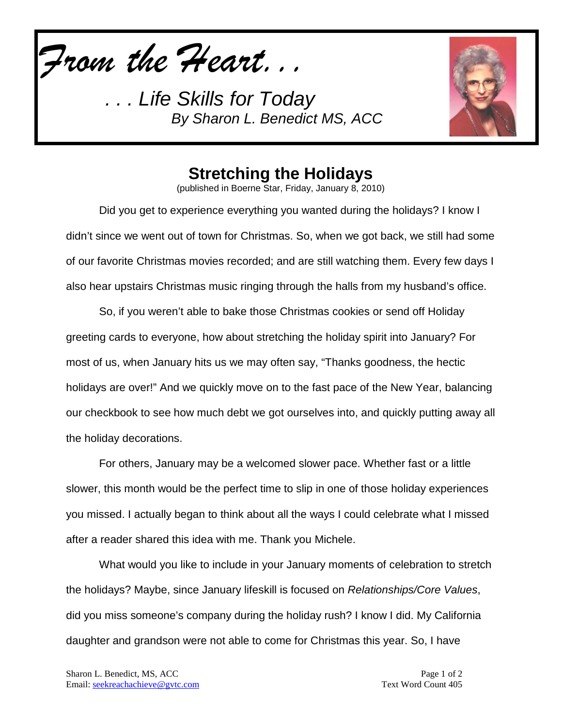*From the Heart...*



## **Stretching the Holidays**

(published in Boerne Star, Friday, January 8, 2010)

Did you get to experience everything you wanted during the holidays? I know I didn't since we went out of town for Christmas. So, when we got back, we still had some of our favorite Christmas movies recorded; and are still watching them. Every few days I also hear upstairs Christmas music ringing through the halls from my husband's office.

So, if you weren't able to bake those Christmas cookies or send off Holiday greeting cards to everyone, how about stretching the holiday spirit into January? For most of us, when January hits us we may often say, "Thanks goodness, the hectic holidays are over!" And we quickly move on to the fast pace of the New Year, balancing our checkbook to see how much debt we got ourselves into, and quickly putting away all the holiday decorations.

For others, January may be a welcomed slower pace. Whether fast or a little slower, this month would be the perfect time to slip in one of those holiday experiences you missed. I actually began to think about all the ways I could celebrate what I missed after a reader shared this idea with me. Thank you Michele.

What would you like to include in your January moments of celebration to stretch the holidays? Maybe, since January lifeskill is focused on *Relationships/Core Values*, did you miss someone's company during the holiday rush? I know I did. My California daughter and grandson were not able to come for Christmas this year. So, I have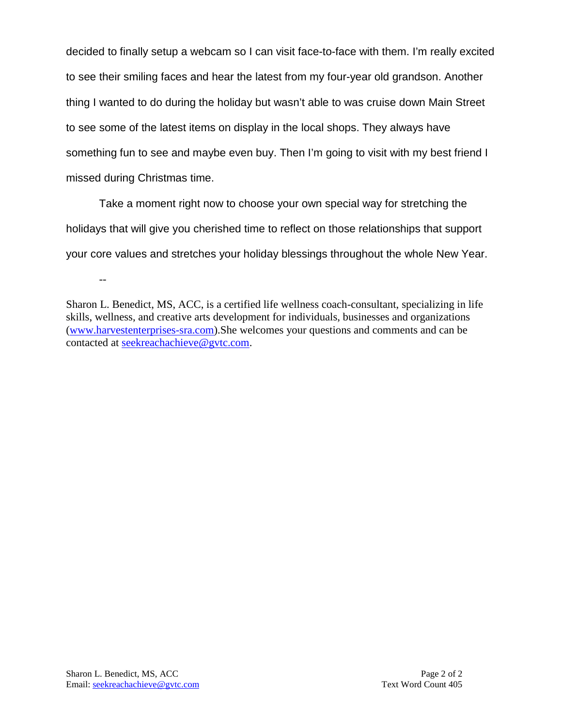decided to finally setup a webcam so I can visit face-to-face with them. I'm really excited to see their smiling faces and hear the latest from my four-year old grandson. Another thing I wanted to do during the holiday but wasn't able to was cruise down Main Street to see some of the latest items on display in the local shops. They always have something fun to see and maybe even buy. Then I'm going to visit with my best friend I missed during Christmas time.

Take a moment right now to choose your own special way for stretching the holidays that will give you cherished time to reflect on those relationships that support your core values and stretches your holiday blessings throughout the whole New Year.

Sharon L. Benedict, MS, ACC, is a certified life wellness coach-consultant, specializing in life skills, wellness, and creative arts development for individuals, businesses and organizations [\(www.harvestenterprises-sra.com\)](http://www.harvestenterprises-sra.com/).She welcomes your questions and comments and can be contacted at [seekreachachieve@gvtc.com.](mailto:seekreachachieve@gvtc.com)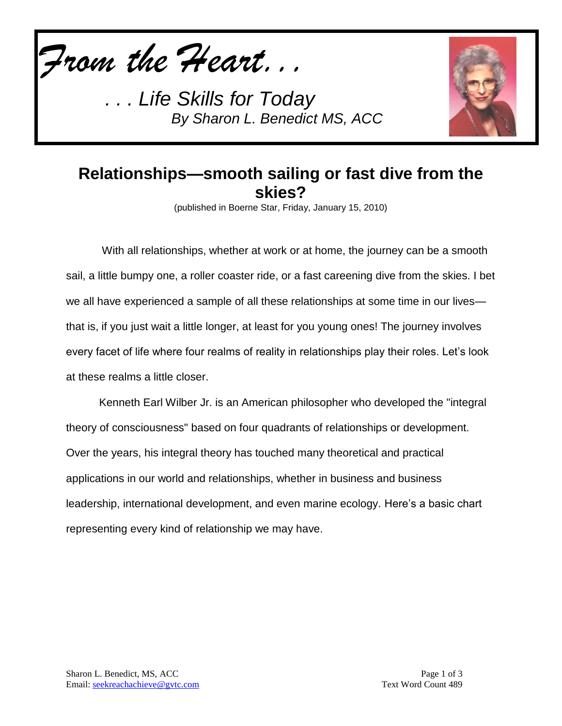*From the Heart...*



## **Relationships—smooth sailing or fast dive from the skies?**

(published in Boerne Star, Friday, January 15, 2010)

With all relationships, whether at work or at home, the journey can be a smooth sail, a little bumpy one, a roller coaster ride, or a fast careening dive from the skies. I bet we all have experienced a sample of all these relationships at some time in our lives that is, if you just wait a little longer, at least for you young ones! The journey involves every facet of life where four realms of reality in relationships play their roles. Let's look at these realms a little closer.

Kenneth Earl Wilber Jr. is an American philosopher who developed the "integral theory of consciousness" based on four quadrants of relationships or development. Over the years, his integral theory has touched many theoretical and practical applications in our world and relationships, whether in business and business leadership, international development, and even marine ecology. Here's a basic chart representing every kind of relationship we may have.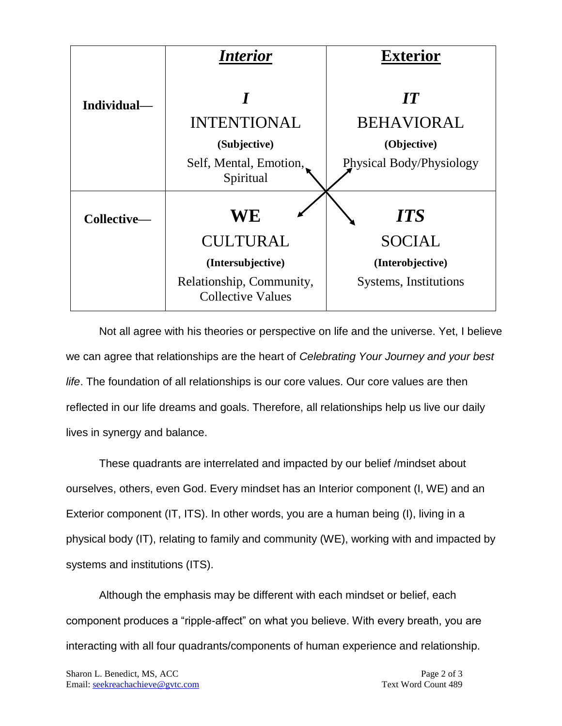

Not all agree with his theories or perspective on life and the universe. Yet, I believe we can agree that relationships are the heart of *Celebrating Your Journey and your best life*. The foundation of all relationships is our core values. Our core values are then reflected in our life dreams and goals. Therefore, all relationships help us live our daily lives in synergy and balance.

These quadrants are interrelated and impacted by our belief /mindset about ourselves, others, even God. Every mindset has an Interior component (I, WE) and an Exterior component (IT, ITS). In other words, you are a human being (I), living in a physical body (IT), relating to family and community (WE), working with and impacted by systems and institutions (ITS).

Although the emphasis may be different with each mindset or belief, each component produces a "ripple-affect" on what you believe. With every breath, you are interacting with all four quadrants/components of human experience and relationship.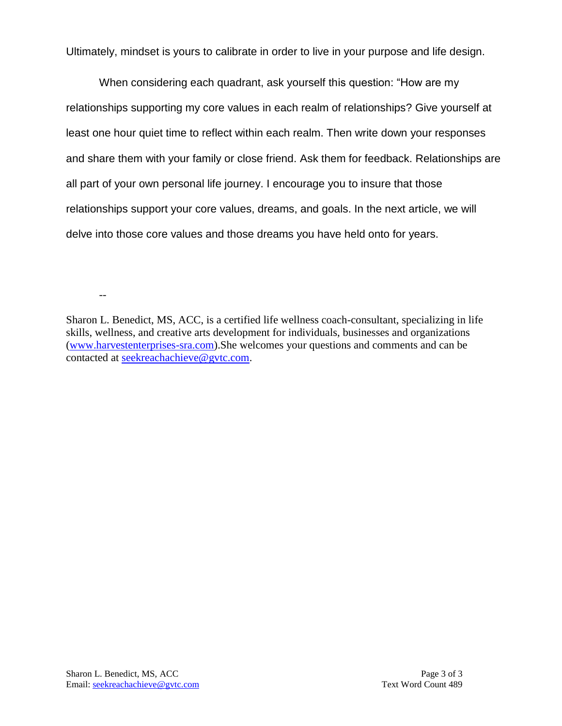Ultimately, mindset is yours to calibrate in order to live in your purpose and life design.

When considering each quadrant, ask yourself this question: "How are my relationships supporting my core values in each realm of relationships? Give yourself at least one hour quiet time to reflect within each realm. Then write down your responses and share them with your family or close friend. Ask them for feedback. Relationships are all part of your own personal life journey. I encourage you to insure that those relationships support your core values, dreams, and goals. In the next article, we will delve into those core values and those dreams you have held onto for years.

Sharon L. Benedict, MS, ACC, is a certified life wellness coach-consultant, specializing in life skills, wellness, and creative arts development for individuals, businesses and organizations [\(www.harvestenterprises-sra.com\)](http://www.harvestenterprises-sra.com/).She welcomes your questions and comments and can be contacted at [seekreachachieve@gvtc.com.](mailto:seekreachachieve@gvtc.com)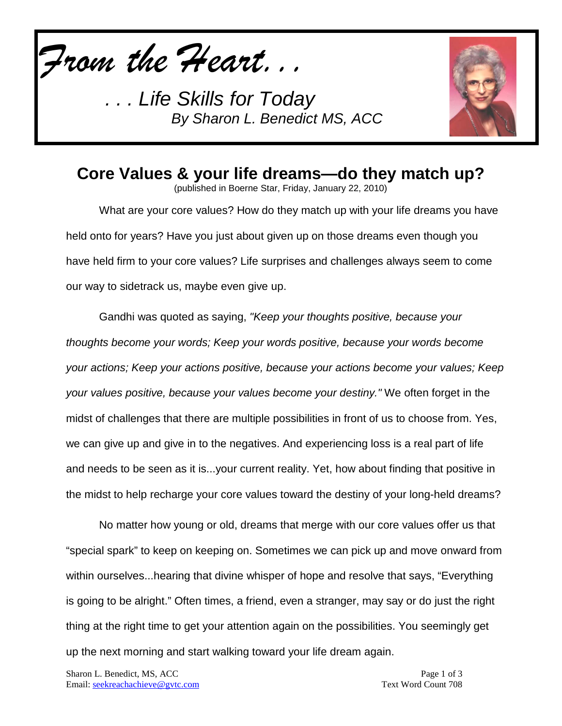*From the Heart...*



## **Core Values & your life dreams—do they match up?**

(published in Boerne Star, Friday, January 22, 2010)

What are your core values? How do they match up with your life dreams you have held onto for years? Have you just about given up on those dreams even though you have held firm to your core values? Life surprises and challenges always seem to come our way to sidetrack us, maybe even give up.

Gandhi was quoted as saying, *"Keep your thoughts positive, because your thoughts become your words; Keep your words positive, because your words become your actions; Keep your actions positive, because your actions become your values; Keep your values positive, because your values become your destiny."* We often forget in the midst of challenges that there are multiple possibilities in front of us to choose from. Yes, we can give up and give in to the negatives. And experiencing loss is a real part of life and needs to be seen as it is...your current reality. Yet, how about finding that positive in the midst to help recharge your core values toward the destiny of your long-held dreams?

No matter how young or old, dreams that merge with our core values offer us that "special spark" to keep on keeping on. Sometimes we can pick up and move onward from within ourselves...hearing that divine whisper of hope and resolve that says, "Everything is going to be alright." Often times, a friend, even a stranger, may say or do just the right thing at the right time to get your attention again on the possibilities. You seemingly get up the next morning and start walking toward your life dream again.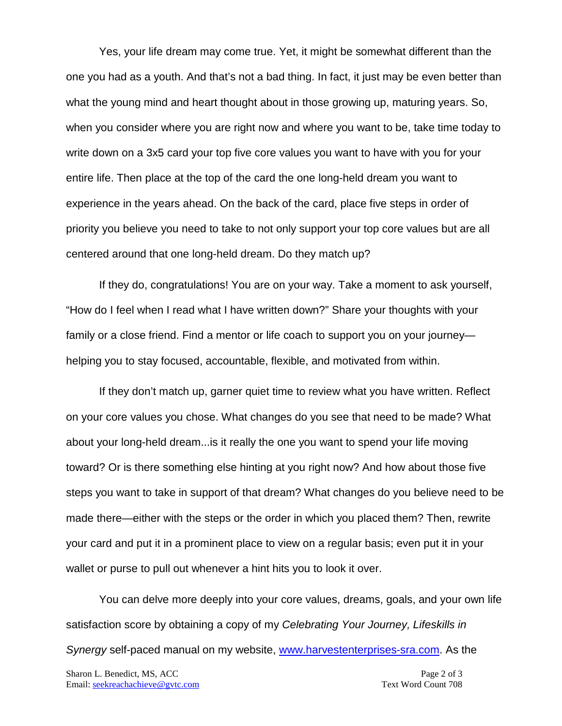Yes, your life dream may come true. Yet, it might be somewhat different than the one you had as a youth. And that's not a bad thing. In fact, it just may be even better than what the young mind and heart thought about in those growing up, maturing years. So, when you consider where you are right now and where you want to be, take time today to write down on a 3x5 card your top five core values you want to have with you for your entire life. Then place at the top of the card the one long-held dream you want to experience in the years ahead. On the back of the card, place five steps in order of priority you believe you need to take to not only support your top core values but are all centered around that one long-held dream. Do they match up?

If they do, congratulations! You are on your way. Take a moment to ask yourself, "How do I feel when I read what I have written down?" Share your thoughts with your family or a close friend. Find a mentor or life coach to support you on your journey helping you to stay focused, accountable, flexible, and motivated from within.

If they don't match up, garner quiet time to review what you have written. Reflect on your core values you chose. What changes do you see that need to be made? What about your long-held dream...is it really the one you want to spend your life moving toward? Or is there something else hinting at you right now? And how about those five steps you want to take in support of that dream? What changes do you believe need to be made there—either with the steps or the order in which you placed them? Then, rewrite your card and put it in a prominent place to view on a regular basis; even put it in your wallet or purse to pull out whenever a hint hits you to look it over.

You can delve more deeply into your core values, dreams, goals, and your own life satisfaction score by obtaining a copy of my *Celebrating Your Journey, Lifeskills in Synergy* self-paced manual on my website, [www.harvestenterprises-sra.com.](http://www.harvestenterprises-sra.com/) As the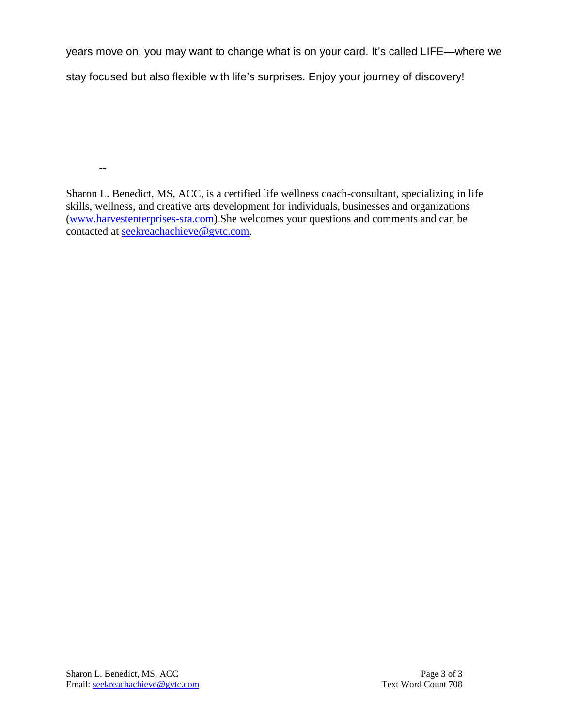years move on, you may want to change what is on your card. It's called LIFE—where we stay focused but also flexible with life's surprises. Enjoy your journey of discovery!

--

Sharon L. Benedict, MS, ACC, is a certified life wellness coach-consultant, specializing in life skills, wellness, and creative arts development for individuals, businesses and organizations [\(www.harvestenterprises-sra.com\)](http://www.harvestenterprises-sra.com/).She welcomes your questions and comments and can be contacted at [seekreachachieve@gvtc.com.](mailto:seekreachachieve@gvtc.com)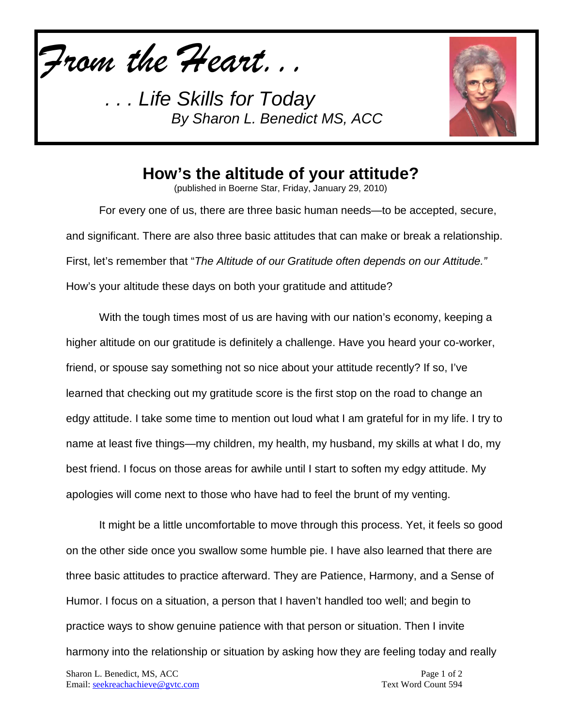*From the Heart...*



### **How's the altitude of your attitude?**

(published in Boerne Star, Friday, January 29, 2010)

For every one of us, there are three basic human needs—to be accepted, secure, and significant. There are also three basic attitudes that can make or break a relationship. First, let's remember that "*The Altitude of our Gratitude often depends on our Attitude."*  How's your altitude these days on both your gratitude and attitude?

With the tough times most of us are having with our nation's economy, keeping a higher altitude on our gratitude is definitely a challenge. Have you heard your co-worker, friend, or spouse say something not so nice about your attitude recently? If so, I've learned that checking out my gratitude score is the first stop on the road to change an edgy attitude. I take some time to mention out loud what I am grateful for in my life. I try to name at least five things—my children, my health, my husband, my skills at what I do, my best friend. I focus on those areas for awhile until I start to soften my edgy attitude. My apologies will come next to those who have had to feel the brunt of my venting.

It might be a little uncomfortable to move through this process. Yet, it feels so good on the other side once you swallow some humble pie. I have also learned that there are three basic attitudes to practice afterward. They are Patience, Harmony, and a Sense of Humor. I focus on a situation, a person that I haven't handled too well; and begin to practice ways to show genuine patience with that person or situation. Then I invite harmony into the relationship or situation by asking how they are feeling today and really